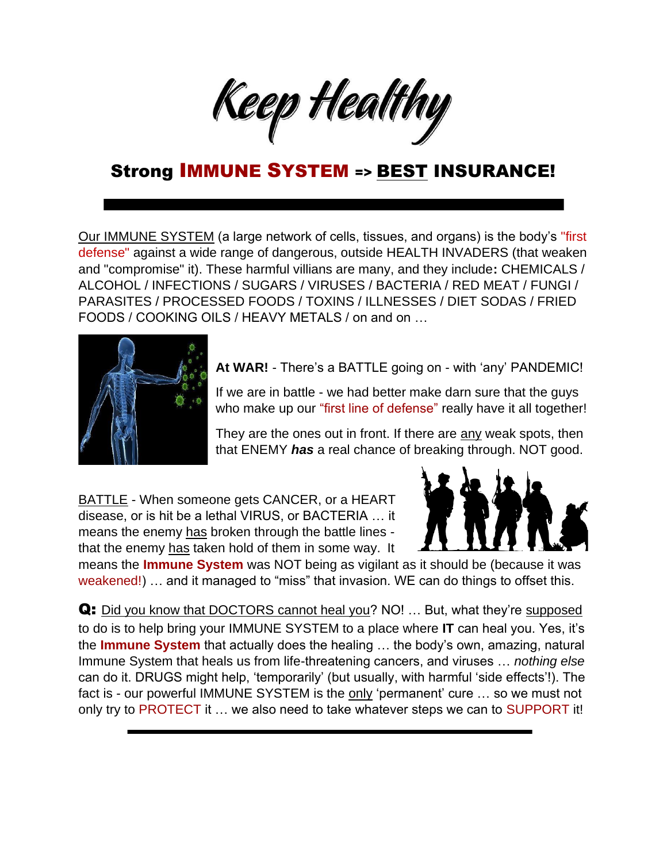Keep Healthy

#### Strong IMMUNE SYSTEM => BEST INSURANCE!

Our IMMUNE SYSTEM (a large network of cells, tissues, and organs) is the body's "first defense" against a wide range of dangerous, outside HEALTH INVADERS (that weaken and "compromise" it). These harmful villians are many, and they include**:** CHEMICALS / ALCOHOL / INFECTIONS / SUGARS / VIRUSES / BACTERIA / RED MEAT / FUNGI / PARASITES / PROCESSED FOODS / TOXINS / ILLNESSES / DIET SODAS / FRIED FOODS / COOKING OILS / HEAVY METALS / on and on …



**At WAR!** - There's a BATTLE going on - with 'any' PANDEMIC!

If we are in battle - we had better make darn sure that the guys who make up our "first line of defense" really have it all together!

They are the ones out in front. If there are any weak spots, then that ENEMY *has* a real chance of breaking through. NOT good.

BATTLE - When someone gets CANCER, or a HEART disease, or is hit be a lethal VIRUS, or BACTERIA … it means the enemy has broken through the battle lines that the enemy has taken hold of them in some way. It



means the **Immune System** was NOT being as vigilant as it should be (because it was weakened!) … and it managed to "miss" that invasion. WE can do things to offset this.

Q: Did you know that DOCTORS cannot heal you? NO! ... But, what they're supposed to do is to help bring your IMMUNE SYSTEM to a place where **IT** can heal you. Yes, it's the **Immune System** that actually does the healing … the body's own, amazing, natural Immune System that heals us from life-threatening cancers, and viruses … *nothing else* can do it. DRUGS might help, 'temporarily' (but usually, with harmful 'side effects'!). The fact is - our powerful IMMUNE SYSTEM is the only 'permanent' cure ... so we must not only try to PROTECT it ... we also need to take whatever steps we can to SUPPORT it!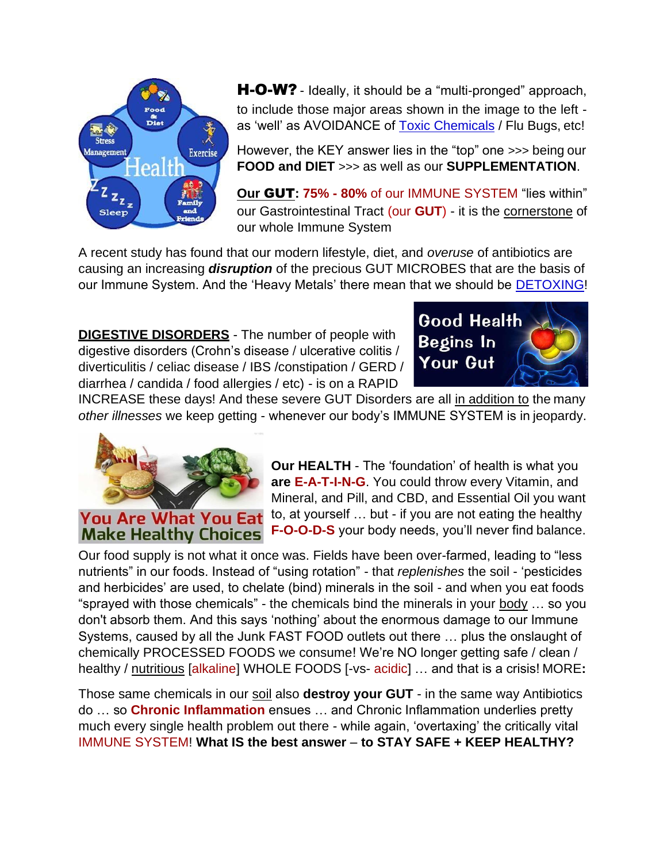

**H-O-W?** - Ideally, it should be a "multi-pronged" approach, to include those major areas shown in the image to the left as 'well' as AVOIDANCE of [Toxic Chemicals](https://www.keepandshare.com/doc20/23043/danger-converted-pdf-551k?da=y) / Flu Bugs, etc!

However, the KEY answer lies in the "top" one >>> being our **FOOD and DIET** >>> as well as our **SUPPLEMENTATION**.

**Our** GUT**: 75% - 80%** of our IMMUNE SYSTEM "lies within" our Gastrointestinal Tract (our **GUT**) - it is the cornerstone of our whole Immune System

A recent study has found that our modern lifestyle, diet, and *overuse* of antibiotics are causing an increasing *disruption* of the precious GUT MICROBES that are the basis of our Immune System. And the 'Heavy Metals' there mean that we should be **DETOXING!** 

**DIGESTIVE DISORDERS** - The number of people with digestive disorders (Crohn's disease / ulcerative colitis / diverticulitis / celiac disease / IBS /constipation / GERD / diarrhea / candida / food allergies / etc) - is on a RAPID



INCREASE these days! And these severe GUT Disorders are all in addition to the many *other illnesses* we keep getting - whenever our body's IMMUNE SYSTEM is in jeopardy.



**Our HEALTH** - The 'foundation' of health is what you **are E-A-T-I-N-G**. You could throw every Vitamin, and Mineral, and Pill, and CBD, and Essential Oil you want to, at yourself … but - if you are not eating the healthy **F-O-O-D-S** your body needs, you'll never find balance.

Our food supply is not what it once was. Fields have been over-farmed, leading to "less nutrients" in our foods. Instead of "using rotation" - that *replenishes* the soil - 'pesticides and herbicides' are used, to chelate (bind) minerals in the soil - and when you eat foods "sprayed with those chemicals" - the chemicals bind the minerals in your  $body...$  so you don't absorb them. And this says 'nothing' about the enormous damage to our Immune Systems, caused by all the Junk FAST FOOD outlets out there … plus the onslaught of chemically PROCESSED FOODS we consume! We're NO longer getting safe / clean / healthy / nutritious [alkaline] WHOLE FOODS [-vs- acidic] … and that is a crisis! MORE**:**

Those same chemicals in our soil also **destroy your GUT** - in the same way Antibiotics do … so **Chronic Inflammation** ensues … and Chronic Inflammation underlies pretty much every single health problem out there - while again, 'overtaxing' the critically vital IMMUNE SYSTEM! **What IS the best answer** – **to STAY SAFE + KEEP HEALTHY?**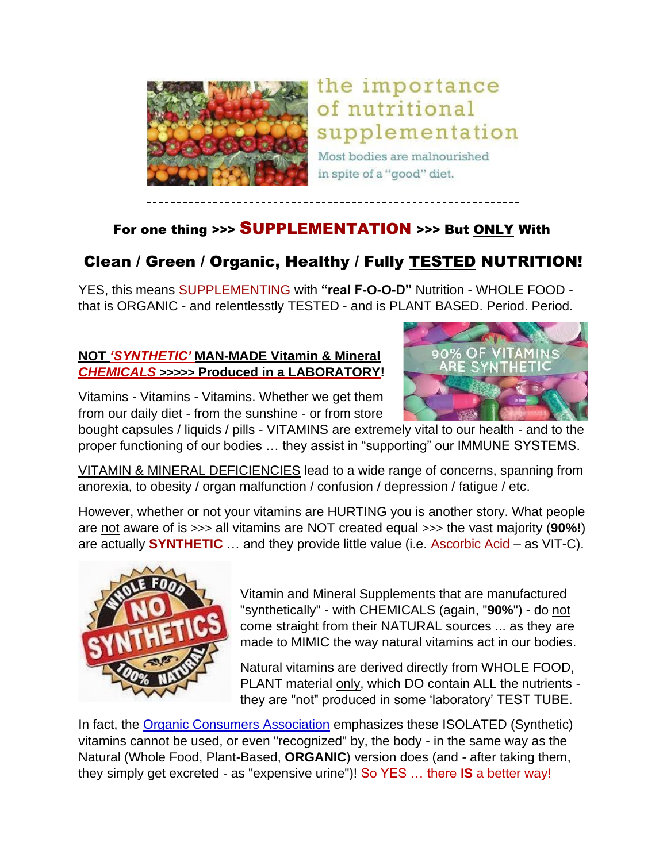

### the importance of nutritional supplementation

Most bodies are malnourished in spite of a "good" diet.

#### For one thing >>> SUPPLEMENTATION >>> But ONLY With

#### Clean / Green / Organic, Healthy / Fully TESTED NUTRITION!

YES, this means SUPPLEMENTING with **"real F-O-O-D"** Nutrition - WHOLE FOOD that is ORGANIC - and relentlesstly TESTED - and is PLANT BASED. Period. Period.

#### **NOT** *'SYNTHETIC'* **MAN-MADE Vitamin & Mineral** *CHEMICALS* **>>>>> Produced in a LABORATORY!**

Vitamins - Vitamins - Vitamins. Whether we get them from our daily diet - from the sunshine - or from store



bought capsules / liquids / pills - VITAMINS are extremely vital to our health - and to the proper functioning of our bodies … they assist in "supporting" our IMMUNE SYSTEMS.

VITAMIN & MINERAL DEFICIENCIES lead to a wide range of concerns, spanning from anorexia, to obesity / organ malfunction / confusion / depression / fatigue / etc.

However, whether or not your vitamins are HURTING you is another story. What people are not aware of is >>> all vitamins are NOT created equal >>> the vast majority (**90%!**) are actually **SYNTHETIC** … and they provide little value (i.e. Ascorbic Acid – as VIT-C).



Vitamin and Mineral Supplements that are manufactured "synthetically" - with CHEMICALS (again, "**90%**") - do not come straight from their NATURAL sources ... as they are made to MIMIC the way natural vitamins act in our bodies.

Natural vitamins are derived directly from WHOLE FOOD, PLANT material only, which DO contain ALL the nutrients they are "not" produced in some 'laboratory' TEST TUBE.

In fact, the [Organic Consumers Association](https://www.organicconsumers.org/about-oca) emphasizes these ISOLATED (Synthetic) vitamins cannot be used, or even "recognized" by, the body - in the same way as the Natural (Whole Food, Plant-Based, **ORGANIC**) version does (and - after taking them, they simply get excreted - as "expensive urine")! So YES … there **IS** a better way!